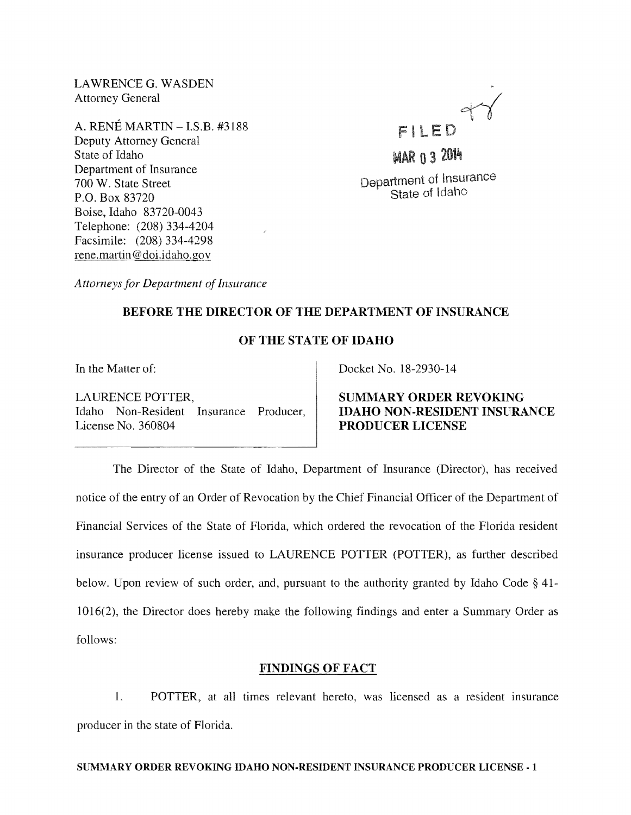LAWRENCE G. WASDEN Attorney General

A. RENÉ MARTIN  $-$  I.S.B. #3188 Deputy Attorney General State of Idaho Department of Insurance 700 W. State Street P.O. Box 83720 Boise, Idaho 83720-0043 Telephone: (208) 334-4204 Facsimile: (208) 334-4298 rene.martin@doi.idaho.gov



**MAR 0 3 2014** Department of Insurance State of Idaho

*Attorneys for Department of Insurance* 

# BEFORE THE DIRECTOR OF THE DEPARTMENT OF INSURANCE

## OF THE STATE OF IDAHO

LAURENCE POTTER, Idaho Non-Resident Insurance Producer, License No. 360804

In the Matter of: Docket No. 18-2930-14

SUMMARY ORDER REVOKING IDAHO NON·RESIDENT INSURANCE PRODUCER LICENSE

The Director of the State of Idaho, Department of Insurance (Director), has received notice of the entry of an Order of Revocation by the Chief Financial Officer of the Department of Financial Services of the State of Florida, which ordered the revocation of the Florida resident insurance producer license issued to LAURENCE POTTER (POTTER), as further described below. Upon review of such order, and, pursuant to the authority granted by Idaho Code § 41- 1016(2), the Director does hereby make the following findings and enter a Summary Order as follows:

### FINDINGS OF FACT

1. POTTER, at all times relevant hereto, was licensed as a resident insurance producer in the state of Florida.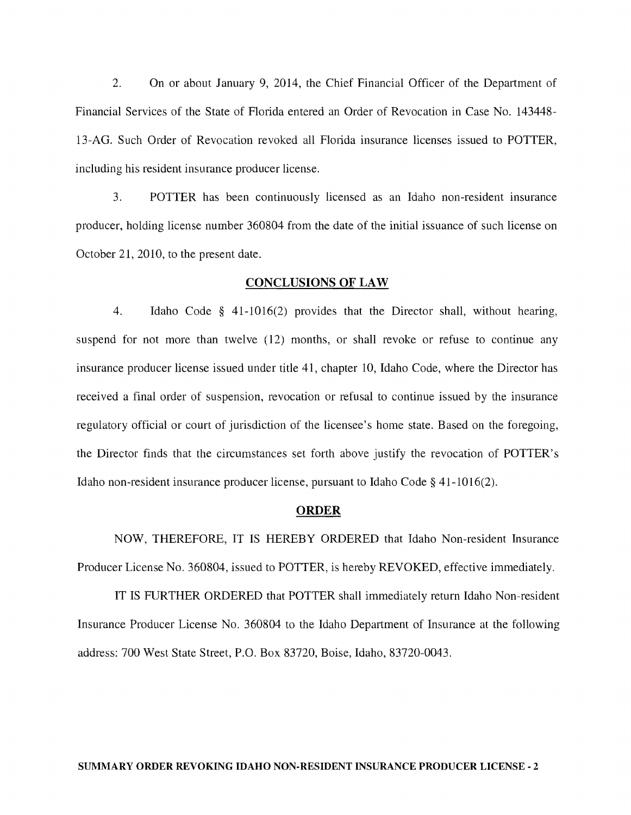2. On or about January 9, 2014, the Chief Financial Officer of the Department of Financial Services of the State of Florida entered an Order of Revocation in Case No. 143448- 13-AG. Such Order of Revocation revoked all Florida insurance licenses issued to POTTER, including his resident insurance producer license.

3. POTTER has been continuously licensed as an Idaho non-resident insurance producer, holding license number 360804 from the date of the initial issuance of such license on October 21, 2010, to the present date.

#### CONCLUSIONS OF LAW

4. Idaho Code § 41-1016(2) provides that the Director shall, without hearing, suspend for not more than twelve (12) months, or shall revoke or refuse to continue any insurance producer license issued under title 41, chapter 10, Idaho Code, where the Director has received a final order of suspension, revocation or refusal to continue issued by the insurance regulatory official or court of jurisdiction of the licensee's home state. Based on the foregoing, the Director finds that the circumstances set forth above justify the revocation of POTTER's Idaho non-resident insurance producer license, pursuant to Idaho Code § 41-10 16(2).

#### ORDER

NOW, THEREFORE, IT IS HEREBY ORDERED that Idaho Non-resident Insurance Producer License No. 360804, issued to POTTER, is hereby REVOKED, effective immediately.

IT IS FURTHER ORDERED that POTTER shall immediately return Idaho Non-resident Insurance Producer License No. 360804 to the Idaho Department of Insurance at the following address: 700 West State Street, P.O. Box 83720, Boise, Idaho, 83720-0043.

#### SUMMARY ORDER REVOKING IDAHO NON-RESIDENT INSURANCE PRODUCER LICENSE - 2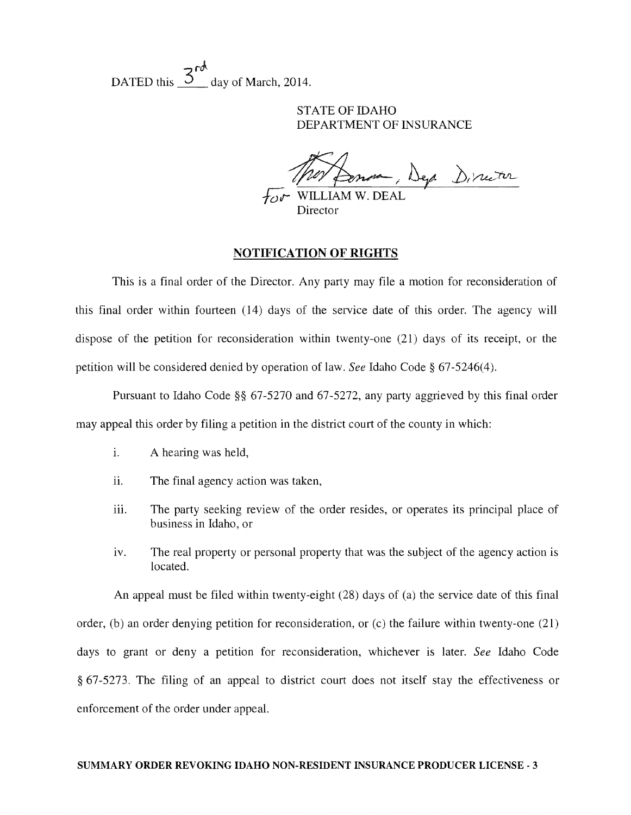DATED this  $\frac{3^{68}}{2}$  day of March, 2014.

STATE OF IDAHO DEPARTMENT OF INSURANCE

~,k »/~ *};;,r* WILLIAM W. DEAL

**Director** 

## NOTIFICATION OF RIGHTS

This is a final order of the Director. Any party may file a motion for reconsideration of this final order within fourteen  $(14)$  days of the service date of this order. The agency will dispose of the petition for reconsideration within twenty-one (21) days of its receipt, or the petition will be considered denied by operation of law. *See* Idaho Code § 67-5246(4).

Pursuant to Idaho Code §§ 67-5270 and 67-5272, any party aggrieved by this final order may appeal this order by filing a petition in the district court of the county in which:

- 1. A hearing was held,
- ii. The final agency action was taken,
- iii. The party seeking review of the order resides, or operates its principal place of business in Idaho, or
- iv. The real property or personal property that was the subject of the agency action is located.

An appeal must be filed within twenty-eight (28) days of (a) the service date of this final order, (b) an order denying petition for reconsideration, or (c) the failure within twenty-one (21) days to grant or deny a petition for reconsideration, whichever is later. *See* Idaho Code § 67-5273. The filing of an appeal to district court does not itself stay the effectiveness or enforcement of the order under appeaL